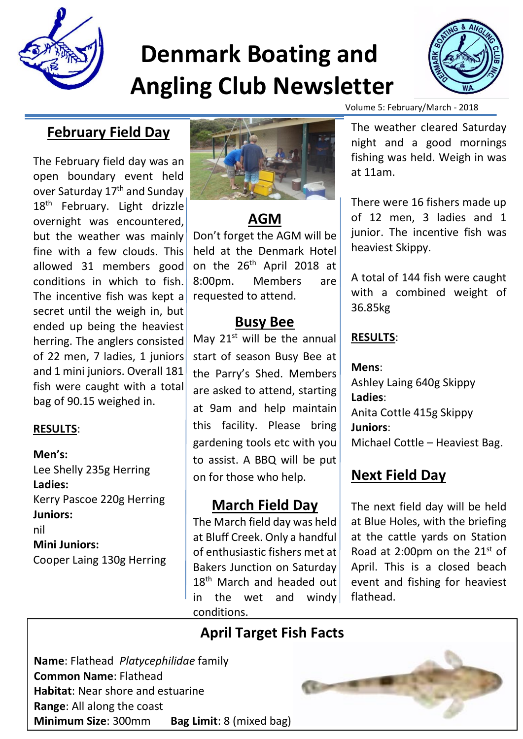

# **Denmark Boating and Angling Club Newsletter**



## **February Field Day**

The February field day was an open boundary event held over Saturday 17<sup>th</sup> and Sunday 18<sup>th</sup> February. Light drizzle overnight was encountered, but the weather was mainly fine with a few clouds. This allowed 31 members good conditions in which to fish. The incentive fish was kept a secret until the weigh in, but ended up being the heaviest herring. The anglers consisted of 22 men, 7 ladies, 1 juniors and 1 mini juniors. Overall 181 fish were caught with a total bag of 90.15 weighed in.

#### **RESULTS**:

**Men's:** Lee Shelly 235g Herring **Ladies:** Kerry Pascoe 220g Herring **Juniors:** nil **Mini Juniors:** Cooper Laing 130g Herring



# **AGM**

Don't forget the AGM will be held at the Denmark Hotel on the 26th April 2018 at 8:00pm. Members are requested to attend.

## **Busy Bee**

May  $21^{st}$  will be the annual start of season Busy Bee at the Parry's Shed. Members are asked to attend, starting at 9am and help maintain this facility. Please bring gardening tools etc with you to assist. A BBQ will be put on for those who help.

## **March Field Day**

The March field day was held at Bluff Creek. Only a handful of enthusiastic fishers met at Bakers Junction on Saturday 18<sup>th</sup> March and headed out in the wet and windy conditions.

Volume 5: February/March - 2018

The weather cleared Saturday night and a good mornings fishing was held. Weigh in was at 11am.

There were 16 fishers made up of 12 men, 3 ladies and 1 junior. The incentive fish was heaviest Skippy.

A total of 144 fish were caught with a combined weight of 36.85kg

#### **RESULTS**:

**Mens**: Ashley Laing 640g Skippy **Ladies**: Anita Cottle 415g Skippy **Juniors**: Michael Cottle – Heaviest Bag.

# **Next Field Day**

The next field day will be held at Blue Holes, with the briefing at the cattle yards on Station Road at 2:00pm on the  $21^{st}$  of April. This is a closed beach event and fishing for heaviest flathead.

# **April Target Fish Facts**

**Name**: Flathead *Platycephilidae* family **Common Name**: Flathead **Habitat**: Near shore and estuarine **Range**: All along the coast **Minimum Size**: 300mm **Bag Limit**: 8 (mixed bag)